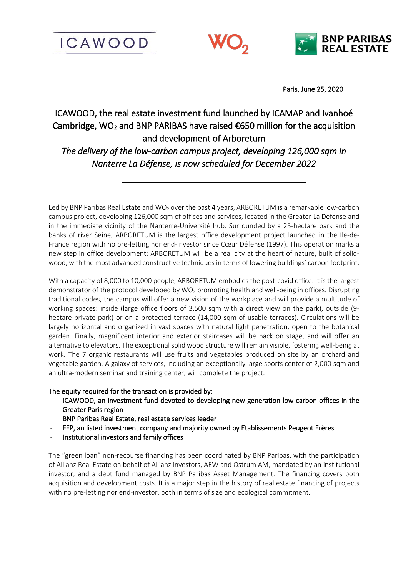**ICAWOOD** 





Paris, June 25, 2020

# ICAWOOD, the real estate investment fund launched by ICAMAP and Ivanhoé Cambridge, WO<sub>2</sub> and BNP PARIBAS have raised  $\epsilon$ 650 million for the acquisition and development of Arboretum

*The delivery of the low-carbon campus project, developing 126,000 sqm in Nanterre La Défense, is now scheduled for December 2022* 

Led by BNP Paribas Real Estate and WO<sub>2</sub> over the past 4 years, ARBORETUM is a remarkable low-carbon campus project, developing 126,000 sqm of offices and services, located in the Greater La Défense and in the immediate vicinity of the Nanterre-Université hub. Surrounded by a 25-hectare park and the banks of river Seine, ARBORETUM is the largest office development project launched in the Ile-de-France region with no pre-letting nor end-investor since Cœur Défense (1997). This operation marks a new step in office development: ARBORETUM will be a real city at the heart of nature, built of solidwood, with the most advanced constructive techniques in terms of lowering buildings' carbon footprint.

With a capacity of 8,000 to 10,000 people, ARBORETUM embodies the post-covid office. It is the largest demonstrator of the protocol developed by WO<sub>2</sub> promoting health and well-being in offices. Disrupting traditional codes, the campus will offer a new vision of the workplace and will provide a multitude of working spaces: inside (large office floors of 3,500 sqm with a direct view on the park), outside (9 hectare private park) or on a protected terrace (14,000 sqm of usable terraces). Circulations will be largely horizontal and organized in vast spaces with natural light penetration, open to the botanical garden. Finally, magnificent interior and exterior staircases will be back on stage, and will offer an alternative to elevators. The exceptional solid wood structure will remain visible, fostering well-being at work. The 7 organic restaurants will use fruits and vegetables produced on site by an orchard and vegetable garden. A galaxy of services, including an exceptionally large sports center of 2,000 sqm and an ultra-modern seminar and training center, will complete the project.

# The equity required for the transaction is provided by:

- ICAWOOD, an investment fund devoted to developing new-generation low-carbon offices in the Greater Paris region
- BNP Paribas Real Estate, real estate services leader
- FFP, an listed investment company and majority owned by Etablissements Peugeot Frères
- Institutional investors and family offices

The "green loan" non-recourse financing has been coordinated by BNP Paribas, with the participation of Allianz Real Estate on behalf of Allianz investors, AEW and Ostrum AM, mandated by an institutional investor, and a debt fund managed by BNP Paribas Asset Management. The financing covers both acquisition and development costs. It is a major step in the history of real estate financing of projects with no pre-letting nor end-investor, both in terms of size and ecological commitment.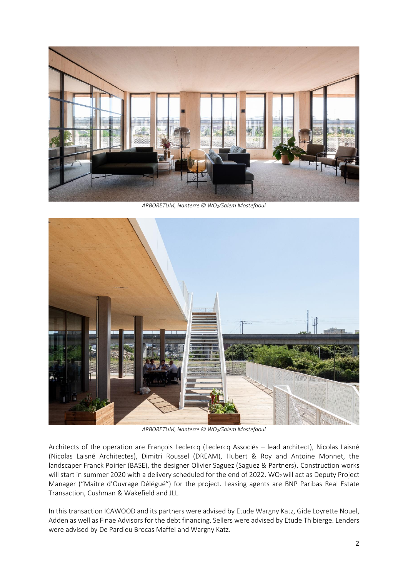

*ARBORETUM, Nanterre © WO2/Salem Mostefaoui*



*ARBORETUM, Nanterre © WO2/Salem Mostefaoui*

Architects of the operation are François Leclercq (Leclercq Associés – lead architect), Nicolas Laisné (Nicolas Laisné Architectes), Dimitri Roussel (DREAM), Hubert & Roy and Antoine Monnet, the landscaper Franck Poirier (BASE), the designer Olivier Saguez (Saguez & Partners). Construction works will start in summer 2020 with a delivery scheduled for the end of 2022. WO<sub>2</sub> will act as Deputy Project Manager ("Maître d'Ouvrage Délégué") for the project. Leasing agents are BNP Paribas Real Estate Transaction, Cushman & Wakefield and JLL.

In this transaction ICAWOOD and its partners were advised by Etude Wargny Katz, Gide Loyrette Nouel, Adden as well as Finae Advisors for the debt financing. Sellers were advised by Etude Thibierge. Lenders were advised by De Pardieu Brocas Maffei and Wargny Katz.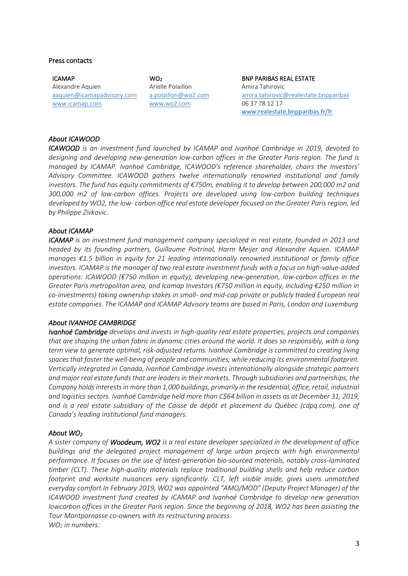#### Press contacts

ICAMAP Alexandre Aquien [aaquien@icamapadvisory.com](mailto:aaquien@icamapadvisory.com) [www.icamap.com](http://www.icamap.com/) 

 $WO<sub>2</sub>$ Arielle Polaillon [a.polaillon@wo2.com](mailto:a.polaillon@wo2.com) [www.wo2.com](http://www.wo2.com/)

BNP PARIBAS REAL ESTATE Amira Tahirovic [amira.tahirovic@realestate.bnpparibas](mailto:amira.tahirovic@realestate.bnpparibas) 06 37 78 12 17 [www.realestate.bnpparibas.fr/fr](http://www.realestate.bnpparibas.fr/fr)

## *About ICAWOOD*

*ICAWOOD is an investment fund launched by ICAMAP and Ivanhoé Cambridge in 2019, devoted to designing and developing new-generation low-carbon offices in the Greater Paris region. The fund is managed by ICAMAP. Ivanhoé Cambridge, ICAWOOD's reference shareholder, chairs the Investors' Advisory Committee. ICAWOOD gathers twelve internationally renowned institutional and family investors. The fund has equity commitments of €750m, enabling it to develop between 200,000 m2 and 300,000 m2 of low-carbon offices. Projects are developed using low-carbon building techniques developed by WO2, the low- carbon office real estate developer focused on the Greater Paris region, led by Philippe Zivkovic.*

## *About ICAMAP*

*ICAMAP is an investment fund management company specialized in real estate, founded in 2013 and headed by its founding partners, Guillaume Poitrinal, Harm Meijer and Alexandre Aquien. ICAMAP manages €1.5 billion in equity for 21 leading internationally renowned institutional or family office investors. ICAMAP is the manager of two real estate investment funds with a focus on high-value-added operations: ICAWOOD (€750 million in equity), developing new-generation, low-carbon offices in the Greater Paris metropolitan area, and Icamap Investors (€750 million in equity, including €250 million in co-investments) taking ownership stakes in small- and mid-cap private or publicly traded European real estate companies. The ICAMAP and ICAMAP Advisory teams are based in Paris, London and Luxemburg*

#### *About IVANHOE CAMBRIDGE*

*Ivanhoé Cambridge develops and invests in high-quality real estate properties, projects and companies that are shaping the urban fabric in dynamic cities around the world. It does so responsibly, with a long term view to generate optimal, risk-adjusted returns. Ivanhoé Cambridge is committed to creating living spaces that foster the well-being of people and communities, while reducing its environmental footprint. Vertically integrated in Canada, Ivanhoé Cambridge invests internationally alongside strategic partners and major real estate funds that are leaders in their markets. Through subsidiaries and partnerships, the Company holds interests in more than 1,000 buildings, primarily in the residential, office, retail, industrial and logistics sectors. Ivanhoé Cambridge held more than C\$64 billion in assets as at December 31, 2019, and is a real estate subsidiary of the Caisse de dépôt et placement du Québec (cdpq.com), one of Canada's leading institutional fund managers.* 

#### *About WO<sup>2</sup>*

*A sister company of Woodeum, WO2 is a real estate developer specialized in the development of office buildings and the delegated project management of large urban projects with high environmental performance. It focuses on the use of latest-generation bio-sourced materials, notably cross-laminated timber (CLT). These high-quality materials replace traditional building shells and help reduce carbon footprint and worksite nuisances very significantly. CLT, left visible inside, gives users unmatched everyday comfort.In February 2019, WO2 was appointed "AMO/MOD" (Deputy Project Manager) of the ICAWOOD investment fund created by ICAMAP and Ivanhoé Cambridge to develop new generation lowcarbon offices in the Greater Paris region. Since the beginning of 2018, WO2 has been assisting the Tour Montparnasse co-owners with its restructuring process. WO<sup>2</sup> in numbers:*